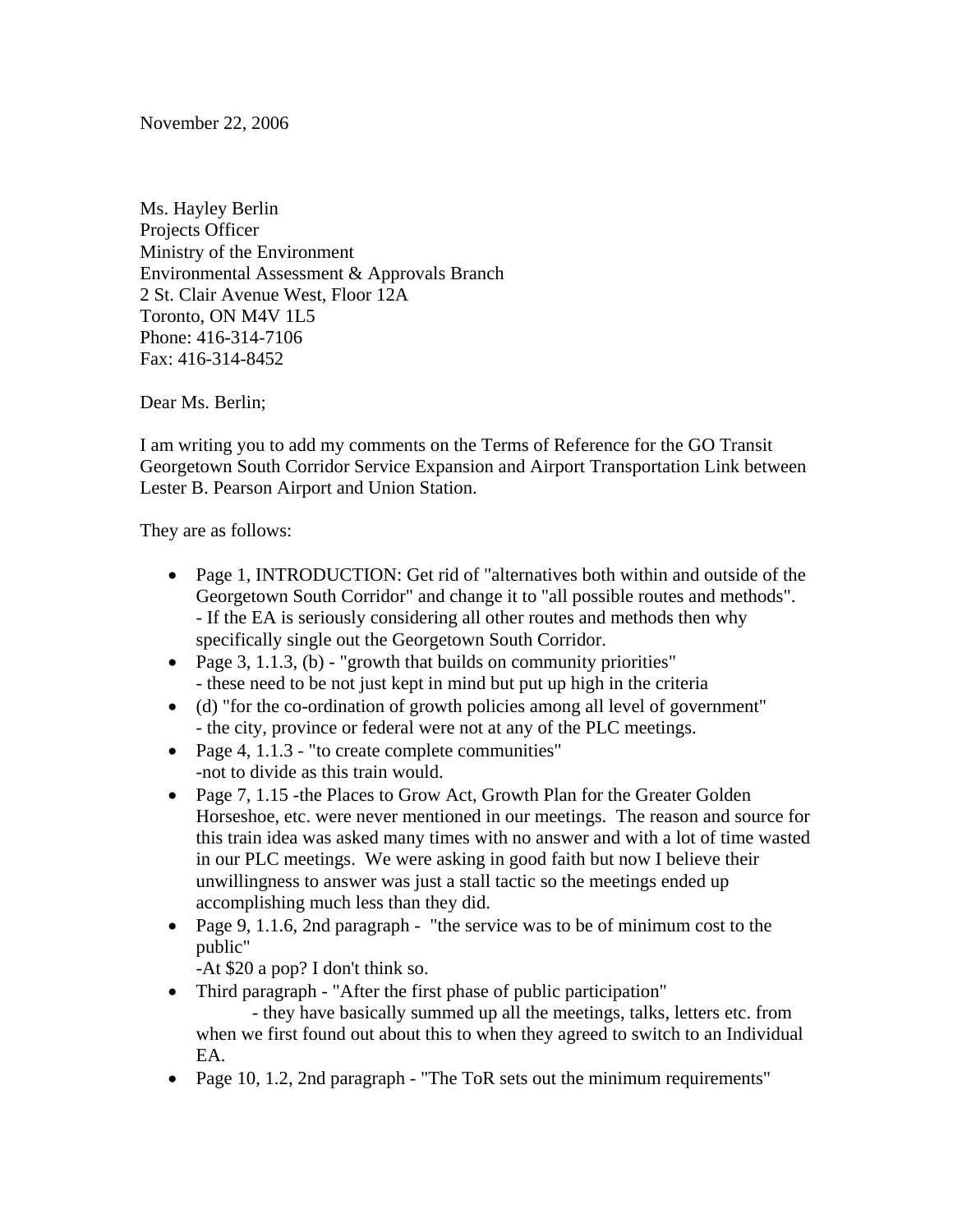November 22, 2006

Ms. Hayley Berlin Projects Officer Ministry of the Environment Environmental Assessment & Approvals Branch 2 St. Clair Avenue West, Floor 12A Toronto, ON M4V 1L5 Phone: 416-314-7106 Fax: 416-314-8452

Dear Ms. Berlin;

I am writing you to add my comments on the Terms of Reference for the GO Transit Georgetown South Corridor Service Expansion and Airport Transportation Link between Lester B. Pearson Airport and Union Station.

They are as follows:

- Page 1, INTRODUCTION: Get rid of "alternatives both within and outside of the Georgetown South Corridor" and change it to "all possible routes and methods". - If the EA is seriously considering all other routes and methods then why specifically single out the Georgetown South Corridor.
- Page 3, 1.1.3, (b) "growth that builds on community priorities" - these need to be not just kept in mind but put up high in the criteria
- (d) "for the co-ordination of growth policies among all level of government" - the city, province or federal were not at any of the PLC meetings.
- Page 4, 1.1.3 "to create complete communities" -not to divide as this train would.
- Page 7, 1.15 -the Places to Grow Act, Growth Plan for the Greater Golden Horseshoe, etc. were never mentioned in our meetings. The reason and source for this train idea was asked many times with no answer and with a lot of time wasted in our PLC meetings. We were asking in good faith but now I believe their unwillingness to answer was just a stall tactic so the meetings ended up accomplishing much less than they did.
- Page 9, 1.1.6, 2nd paragraph "the service was to be of minimum cost to the public"

-At \$20 a pop? I don't think so.

- Third paragraph "After the first phase of public participation"
	- they have basically summed up all the meetings, talks, letters etc. from when we first found out about this to when they agreed to switch to an Individual EA.
- Page 10, 1.2, 2nd paragraph "The ToR sets out the minimum requirements"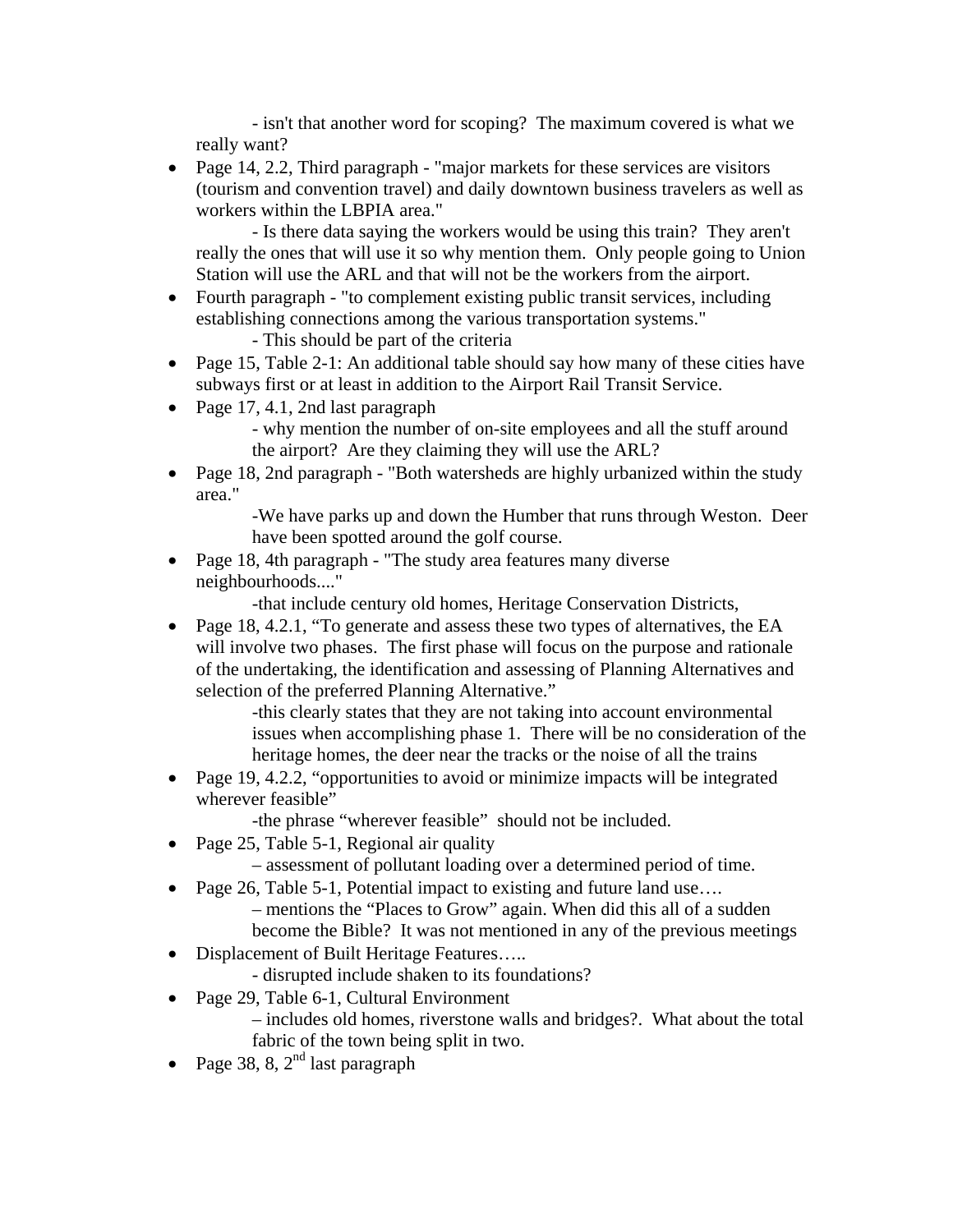- isn't that another word for scoping? The maximum covered is what we really want?

• Page 14, 2.2, Third paragraph - "major markets for these services are visitors" (tourism and convention travel) and daily downtown business travelers as well as workers within the LBPIA area."

- Is there data saying the workers would be using this train? They aren't really the ones that will use it so why mention them. Only people going to Union Station will use the ARL and that will not be the workers from the airport.

• Fourth paragraph - "to complement existing public transit services, including establishing connections among the various transportation systems."

- This should be part of the criteria

- Page 15, Table 2-1: An additional table should say how many of these cities have subways first or at least in addition to the Airport Rail Transit Service.
- Page 17, 4.1, 2nd last paragraph
	- why mention the number of on-site employees and all the stuff around the airport? Are they claiming they will use the ARL?
- Page 18, 2nd paragraph "Both watersheds are highly urbanized within the study area."

-We have parks up and down the Humber that runs through Weston. Deer have been spotted around the golf course.

• Page 18, 4th paragraph - "The study area features many diverse" neighbourhoods...."

-that include century old homes, Heritage Conservation Districts,

• Page 18, 4.2.1, "To generate and assess these two types of alternatives, the EA will involve two phases. The first phase will focus on the purpose and rationale of the undertaking, the identification and assessing of Planning Alternatives and selection of the preferred Planning Alternative."

-this clearly states that they are not taking into account environmental issues when accomplishing phase 1. There will be no consideration of the heritage homes, the deer near the tracks or the noise of all the trains

- Page 19, 4.2.2, "opportunities to avoid or minimize impacts will be integrated wherever feasible"
	- -the phrase "wherever feasible" should not be included.
- Page 25, Table 5-1, Regional air quality
	- assessment of pollutant loading over a determined period of time.
- Page 26, Table 5-1, Potential impact to existing and future land use....
	- mentions the "Places to Grow" again. When did this all of a sudden become the Bible? It was not mentioned in any of the previous meetings
- Displacement of Built Heritage Features.....
	- disrupted include shaken to its foundations?
- Page 29, Table 6-1, Cultural Environment – includes old homes, riverstone walls and bridges?. What about the total fabric of the town being split in two.
- Page 38, 8,  $2<sup>nd</sup>$  last paragraph